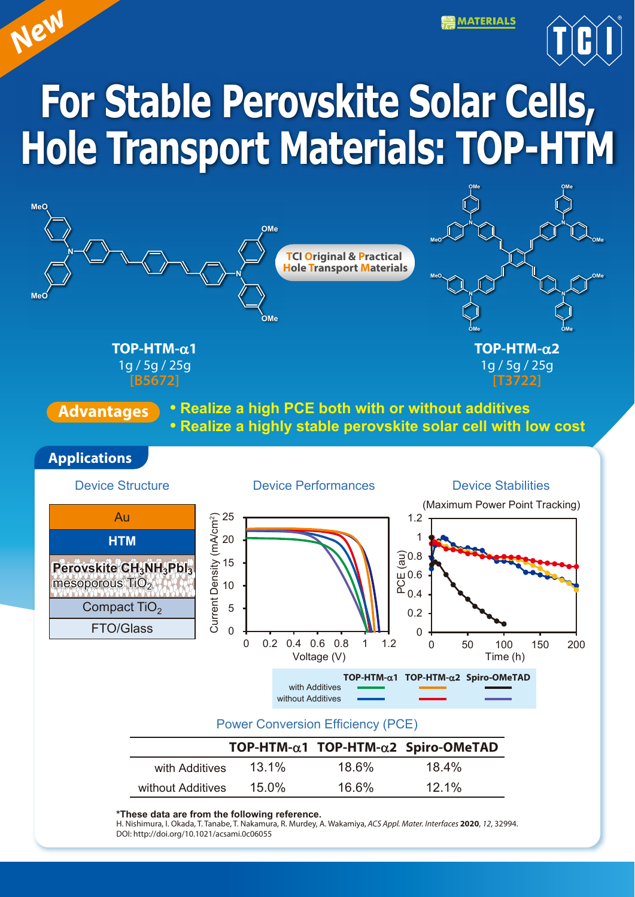**MATERIALS** 



# **For Stable Perovskite Solar Cells, Hole Transport Materials: TOP-HTM**

*New*



**\*These data are from the following reference.** 

H. Nishimura, I. Okada, T. Tanabe, T. Nakamura, R. Murdey, A. Wakamiya, *ACS Appl. Mater. Interfaces* **2020**, *12*, 32994. DOI: http://doi.org/10.1021/acsami.0c06055